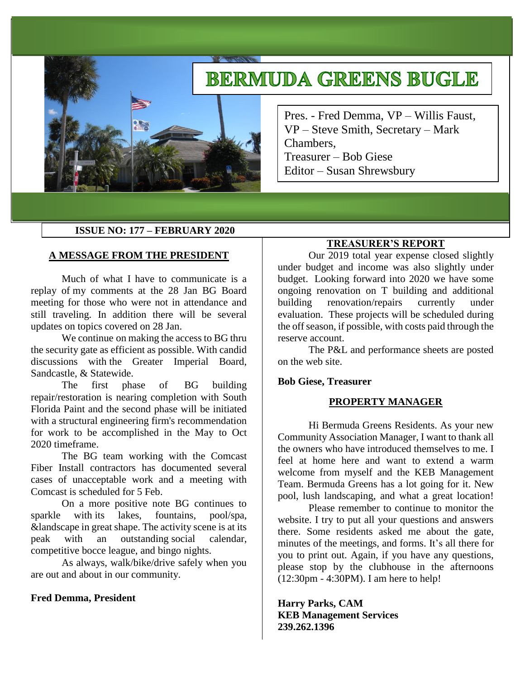# **BERMUDA GREENS BUGLE**

Pres. - Fred Demma, VP – Willis Faust, VP – Steve Smith, Secretary – Mark Chambers, Treasurer – Bob Giese Editor – Susan Shrewsbury

## **ISSUE NO: 177 – FEBRUARY 2020**

#### **A MESSAGE FROM THE PRESIDENT**

Much of what I have to communicate is a replay of my comments at the 28 Jan BG Board meeting for those who were not in attendance and still traveling. In addition there will be several updates on topics covered on 28 Jan.

We continue on making the access to BG thru the security gate as efficient as possible. With candid discussions with the Greater Imperial Board, Sandcastle, & Statewide.

The first phase of BG building repair/restoration is nearing completion with South Florida Paint and the second phase will be initiated with a structural engineering firm's recommendation for work to be accomplished in the May to Oct 2020 timeframe.

The BG team working with the Comcast Fiber Install contractors has documented several cases of unacceptable work and a meeting with Comcast is scheduled for 5 Feb.

On a more positive note BG continues to sparkle with its lakes, fountains, pool/spa, &landscape in great shape. The activity scene is at its peak with an outstanding social calendar, competitive bocce league, and bingo nights.

As always, walk/bike/drive safely when you are out and about in our community.

#### **Fred Demma, President**

#### **TREASURER'S REPORT**

Our 2019 total year expense closed slightly under budget and income was also slightly under budget. Looking forward into 2020 we have some ongoing renovation on T building and additional building renovation/repairs currently under evaluation. These projects will be scheduled during the off season, if possible, with costs paid through the reserve account.

The P&L and performance sheets are posted on the web site.

#### **Bob Giese, Treasurer**

#### **PROPERTY MANAGER**

Hi Bermuda Greens Residents. As your new Community Association Manager, I want to thank all the owners who have introduced themselves to me. I feel at home here and want to extend a warm welcome from myself and the KEB Management Team. Bermuda Greens has a lot going for it. New pool, lush landscaping, and what a great location!

Please remember to continue to monitor the website. I try to put all your questions and answers there. Some residents asked me about the gate, minutes of the meetings, and forms. It's all there for you to print out. Again, if you have any questions, please stop by the clubhouse in the afternoons (12:30pm - 4:30PM). I am here to help!

**Harry Parks, CAM KEB Management Services 239.262.1396**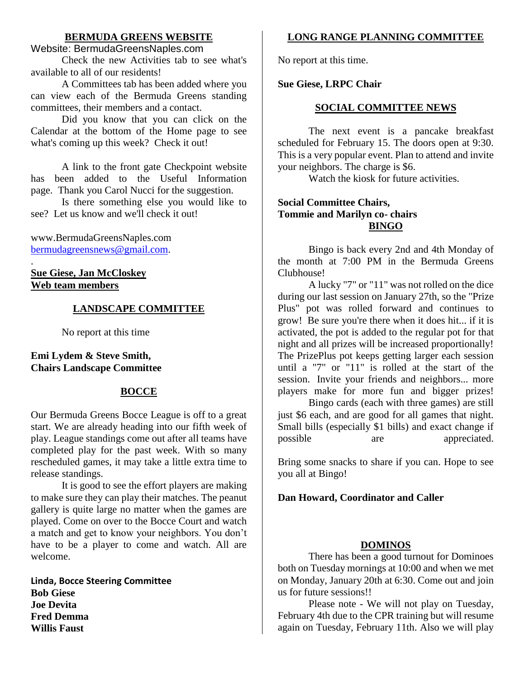# **BERMUDA GREENS WEBSITE**

# Website: BermudaGreensNaples.com

Check the new Activities tab to see what's available to all of our residents!

A Committees tab has been added where you can view each of the Bermuda Greens standing committees, their members and a contact.

Did you know that you can click on the Calendar at the bottom of the Home page to see what's coming up this week? Check it out!

A link to the front gate Checkpoint website has been added to the Useful Information page. Thank you Carol Nucci for the suggestion.

Is there something else you would like to see? Let us know and we'll check it out!

www.BermudaGreensNaples.com [bermudagreensnews@gmail.com.](mailto:bermudagreensnews@gmail.com)

. **Sue Giese, Jan McCloskey Web team members**

# **LANDSCAPE COMMITTEE**

No report at this time

## **Emi Lydem & Steve Smith, Chairs Landscape Committee**

# **BOCCE**

Our Bermuda Greens Bocce League is off to a great start. We are already heading into our fifth week of play. League standings come out after all teams have completed play for the past week. With so many rescheduled games, it may take a little extra time to release standings.

It is good to see the effort players are making to make sure they can play their matches. The peanut gallery is quite large no matter when the games are played. Come on over to the Bocce Court and watch a match and get to know your neighbors. You don't have to be a player to come and watch. All are welcome.

**Linda, Bocce Steering Committee Bob Giese Joe Devita Fred Demma Willis Faust**

# **LONG RANGE PLANNING COMMITTEE**

No report at this time.

## **Sue Giese, LRPC Chair**

## **SOCIAL COMMITTEE NEWS**

The next event is a pancake breakfast scheduled for February 15. The doors open at 9:30. This is a very popular event. Plan to attend and invite your neighbors. The charge is \$6.

Watch the kiosk for future activities.

# **Social Committee Chairs, Tommie and Marilyn co- chairs BINGO**

Bingo is back every 2nd and 4th Monday of the month at 7:00 PM in the Bermuda Greens Clubhouse!

A lucky "7" or "11" was not rolled on the dice during our last session on January 27th, so the "Prize Plus" pot was rolled forward and continues to grow! Be sure you're there when it does hit... if it is activated, the pot is added to the regular pot for that night and all prizes will be increased proportionally! The PrizePlus pot keeps getting larger each session until a "7" or "11" is rolled at the start of the session. Invite your friends and neighbors... more players make for more fun and bigger prizes!

Bingo cards (each with three games) are still just \$6 each, and are good for all games that night. Small bills (especially \$1 bills) and exact change if possible are appreciated.

Bring some snacks to share if you can. Hope to see you all at Bingo!

# **Dan Howard, Coordinator and Caller**

## **DOMINOS**

There has been a good turnout for Dominoes both on Tuesday mornings at 10:00 and when we met on Monday, January 20th at 6:30. Come out and join us for future sessions!!

Please note - We will not play on Tuesday, February 4th due to the CPR training but will resume again on Tuesday, February 11th. Also we will play